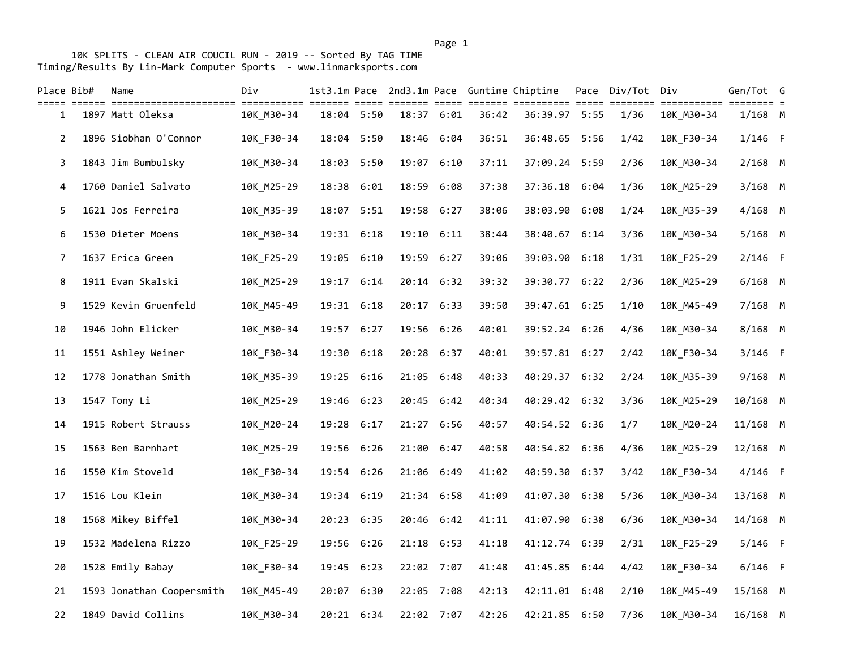10K SPLITS - CLEAN AIR COUCIL RUN - 2019 -- Sorted By TAG TIME Timing/Results By Lin-Mark Computer Sports - www.linmarksports.com

| Place Bib#     | Name                      | Div        |            |      |       |            |       | 1st3.1m Pace 2nd3.1m Pace Guntime Chiptime | Pace | Div/Tot Div |            | Gen/Tot G |  |
|----------------|---------------------------|------------|------------|------|-------|------------|-------|--------------------------------------------|------|-------------|------------|-----------|--|
| 1              | 1897 Matt Oleksa          | 10K_M30-34 | 18:04 5:50 |      |       | 18:37 6:01 | 36:42 | 36:39.97 5:55                              |      | 1/36        | 10K_M30-34 | $1/168$ M |  |
| $\overline{2}$ | 1896 Siobhan O'Connor     | 10K_F30-34 | 18:04 5:50 |      |       | 18:46 6:04 | 36:51 | 36:48.65 5:56                              |      | 1/42        | 10K_F30-34 | $1/146$ F |  |
| 3              | 1843 Jim Bumbulsky        | 10K M30-34 | 18:03 5:50 |      | 19:07 | 6:10       | 37:11 | 37:09.24 5:59                              |      | 2/36        | 10K_M30-34 | $2/168$ M |  |
| 4              | 1760 Daniel Salvato       | 10K M25-29 | 18:38      | 6:01 | 18:59 | 6:08       | 37:38 | 37:36.18 6:04                              |      | 1/36        | 10K M25-29 | $3/168$ M |  |
| 5              | 1621 Jos Ferreira         | 10K_M35-39 | 18:07 5:51 |      |       | 19:58 6:27 | 38:06 | 38:03.90 6:08                              |      | 1/24        | 10K_M35-39 | $4/168$ M |  |
| 6              | 1530 Dieter Moens         | 10K_M30-34 | 19:31 6:18 |      |       | 19:10 6:11 | 38:44 | 38:40.67                                   | 6:14 | 3/36        | 10K_M30-34 | 5/168 M   |  |
| 7              | 1637 Erica Green          | 10K_F25-29 | 19:05      | 6:10 |       | 19:59 6:27 | 39:06 | 39:03.90 6:18                              |      | 1/31        | 10K_F25-29 | $2/146$ F |  |
| 8              | 1911 Evan Skalski         | 10K_M25-29 | 19:17 6:14 |      |       | 20:14 6:32 | 39:32 | 39:30.77 6:22                              |      | 2/36        | 10K_M25-29 | $6/168$ M |  |
| 9              | 1529 Kevin Gruenfeld      | 10K_M45-49 | 19:31 6:18 |      |       | 20:17 6:33 | 39:50 | 39:47.61 6:25                              |      | 1/10        | 10K_M45-49 | 7/168 M   |  |
| 10             | 1946 John Elicker         | 10K M30-34 | 19:57 6:27 |      |       | 19:56 6:26 | 40:01 | 39:52.24 6:26                              |      | 4/36        | 10K M30-34 | 8/168 M   |  |
| 11             | 1551 Ashley Weiner        | 10K_F30-34 | 19:30 6:18 |      |       | 20:28 6:37 | 40:01 | 39:57.81 6:27                              |      | 2/42        | 10K_F30-34 | $3/146$ F |  |
| 12             | 1778 Jonathan Smith       | 10K_M35-39 | 19:25      | 6:16 |       | 21:05 6:48 | 40:33 | 40:29.37 6:32                              |      | 2/24        | 10K_M35-39 | 9/168 M   |  |
| 13             | 1547 Tony Li              | 10K_M25-29 | 19:46      | 6:23 |       | 20:45 6:42 | 40:34 | 40:29.42 6:32                              |      | 3/36        | 10K_M25-29 | 10/168 M  |  |
| 14             | 1915 Robert Strauss       | 10K_M20-24 | 19:28      | 6:17 |       | 21:27 6:56 | 40:57 | 40:54.52 6:36                              |      | 1/7         | 10K_M20-24 | 11/168 M  |  |
| 15             | 1563 Ben Barnhart         | 10K_M25-29 | 19:56 6:26 |      |       | 21:00 6:47 | 40:58 | 40:54.82 6:36                              |      | 4/36        | 10K_M25-29 | 12/168 M  |  |
| 16             | 1550 Kim Stoveld          | 10K_F30-34 | 19:54      | 6:26 | 21:06 | 6:49       | 41:02 | 40:59.30 6:37                              |      | 3/42        | 10K_F30-34 | 4/146 F   |  |
| 17             | 1516 Lou Klein            | 10K_M30-34 | 19:34 6:19 |      |       | 21:34 6:58 | 41:09 | 41:07.30 6:38                              |      | 5/36        | 10K_M30-34 | 13/168 M  |  |
| 18             | 1568 Mikey Biffel         | 10K_M30-34 | 20:23 6:35 |      |       | 20:46 6:42 | 41:11 | 41:07.90                                   | 6:38 | 6/36        | 10K_M30-34 | 14/168 M  |  |
| 19             | 1532 Madelena Rizzo       | 10K_F25-29 | 19:56      | 6:26 |       | 21:18 6:53 | 41:18 | 41:12.74 6:39                              |      | 2/31        | 10K_F25-29 | $5/146$ F |  |
| 20             | 1528 Emily Babay          | 10K_F30-34 | 19:45 6:23 |      |       | 22:02 7:07 | 41:48 | 41:45.85 6:44                              |      | 4/42        | 10K_F30-34 | $6/146$ F |  |
| 21             | 1593 Jonathan Coopersmith | 10K_M45-49 | 20:07 6:30 |      |       | 22:05 7:08 | 42:13 | 42:11.01 6:48                              |      | 2/10        | 10K_M45-49 | 15/168 M  |  |
| 22             | 1849 David Collins        | 10K M30-34 | 20:21 6:34 |      |       | 22:02 7:07 | 42:26 | 42:21.85 6:50                              |      | 7/36        | 10K_M30-34 | 16/168 M  |  |

Page 1 and 2012 12:00 the contract of the contract of the contract of the contract of the contract of the contract of the contract of the contract of the contract of the contract of the contract of the contract of the cont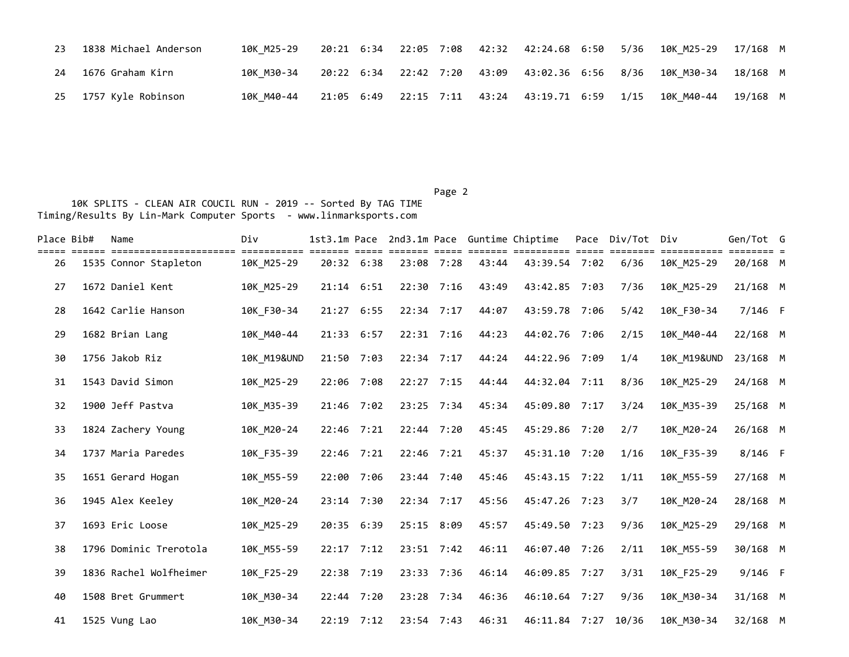| 23 | 1838 Michael Anderson | 10K M25-29 |  |  | 20:21 6:34 22:05 7:08 42:32 42:24.68 6:50 5/36 10K M25-29 17/168 M           |  |
|----|-----------------------|------------|--|--|------------------------------------------------------------------------------|--|
| 24 | 1676 Graham Kirn      | 10K M30-34 |  |  | 20:22 6:34 22:42 7:20 43:09 43:02.36 6:56 8/36 10K M30-34 18/168 M           |  |
|    | 25 1757 Kyle Robinson | 10K M40-44 |  |  | 21:05 6:49  22:15  7:11  43:24  43:19.71  6:59  1/15  10K  M40-44  19/168  M |  |

Page 2 and 2 and 2 and 2 and 2 and 2 and 2 and 2 and 2 and 2 and 2 and 2 and 2 and 2 and 2 and 2 and 2 and 2

| Place Bib# | Name                                            | Div<br>essessesses es  |            |              |              |              |       | 1st3.1m Pace 2nd3.1m Pace Guntime Chiptime | Pace | Div/Tot Div | ===========            | Gen/Tot G<br>$=$ $=$ $=$ $=$ $=$ |  |
|------------|-------------------------------------------------|------------------------|------------|--------------|--------------|--------------|-------|--------------------------------------------|------|-------------|------------------------|----------------------------------|--|
| 26         | ======================<br>1535 Connor Stapleton | 10K M25-29             |            | 20:32 6:38   |              | 23:08 7:28   | 43:44 | ===== ==:<br>43:39.54 7:02                 |      | 6/36        | 10K M25-29             | 20/168 M                         |  |
| 27         | 1672 Daniel Kent                                | 10K M25-29             |            | $21:14$ 6:51 |              | $22:30$ 7:16 | 43:49 | 43:42.85 7:03                              |      | 7/36        | 10K M25-29             | 21/168 M                         |  |
| 28         | 1642 Carlie Hanson                              | 10K_F30-34             | 21:27 6:55 |              |              | $22:34$ 7:17 | 44:07 | 43:59.78 7:06                              |      | 5/42        | 10K_F30-34             | $7/146$ F                        |  |
| 29         | 1682 Brian Lang                                 | 10K M40-44             |            | 21:33 6:57   |              | 22:31 7:16   | 44:23 | 44:02.76 7:06                              |      | 2/15        | 10K M40-44             | 22/168 M                         |  |
| 30         | 1756 Jakob Riz                                  | <b>10K M19&amp;UND</b> | 21:50 7:03 |              |              | 22:34 7:17   | 44:24 | 44:22.96 7:09                              |      | 1/4         | <b>10K M19&amp;UND</b> | 23/168 M                         |  |
| 31         | 1543 David Simon                                | 10K M25-29             | 22:06 7:08 |              |              | 22:27 7:15   | 44:44 | 44:32.04 7:11                              |      | 8/36        | 10K_M25-29             | 24/168 M                         |  |
| 32         | 1900 Jeff Pastva                                | 10K_M35-39             | 21:46 7:02 |              |              | 23:25 7:34   | 45:34 | 45:09.80 7:17                              |      | 3/24        | 10K_M35-39             | 25/168 M                         |  |
| 33         | 1824 Zachery Young                              | 10K M20-24             |            | 22:46 7:21   |              | 22:44 7:20   | 45:45 | 45:29.86 7:20                              |      | 2/7         | 10K M20-24             | 26/168 M                         |  |
| 34         | 1737 Maria Paredes                              | 10K F35-39             | 22:46 7:21 |              |              | $22:46$ 7:21 | 45:37 | 45:31.10 7:20                              |      | 1/16        | 10K F35-39             | $8/146$ F                        |  |
| 35         | 1651 Gerard Hogan                               | 10K M55-59             |            | 22:00 7:06   |              | 23:44 7:40   | 45:46 | 45:43.15 7:22                              |      | 1/11        | 10K M55-59             | 27/168 M                         |  |
| 36         | 1945 Alex Keeley                                | 10K M20-24             | 23:14 7:30 |              | $22:34$ 7:17 |              | 45:56 | 45:47.26 7:23                              |      | 3/7         | 10K M20-24             | 28/168 M                         |  |
| 37         | 1693 Eric Loose                                 | 10K M25-29             | 20:35 6:39 |              |              | 25:15 8:09   | 45:57 | 45:49.50 7:23                              |      | 9/36        | 10K M25-29             | 29/168 M                         |  |
| 38         | 1796 Dominic Trerotola                          | 10K_M55-59             | 22:17 7:12 |              |              | 23:51 7:42   | 46:11 | 46:07.40 7:26                              |      | 2/11        | 10K_M55-59             | 30/168 M                         |  |
| 39         | 1836 Rachel Wolfheimer                          | 10K F25-29             | 22:38 7:19 |              |              | 23:33 7:36   | 46:14 | 46:09.85 7:27                              |      | 3/31        | 10K_F25-29             | $9/146$ F                        |  |
| 40         | 1508 Bret Grummert                              | 10K M30-34             | 22:44 7:20 |              |              | 23:28 7:34   | 46:36 | 46:10.64 7:27                              |      | 9/36        | 10K M30-34             | 31/168 M                         |  |
| 41         | 1525 Vung Lao                                   | 10K M30-34             |            | 22:19 7:12   |              | 23:54 7:43   | 46:31 | 46:11.84 7:27                              |      | 10/36       | 10K M30-34             | 32/168 M                         |  |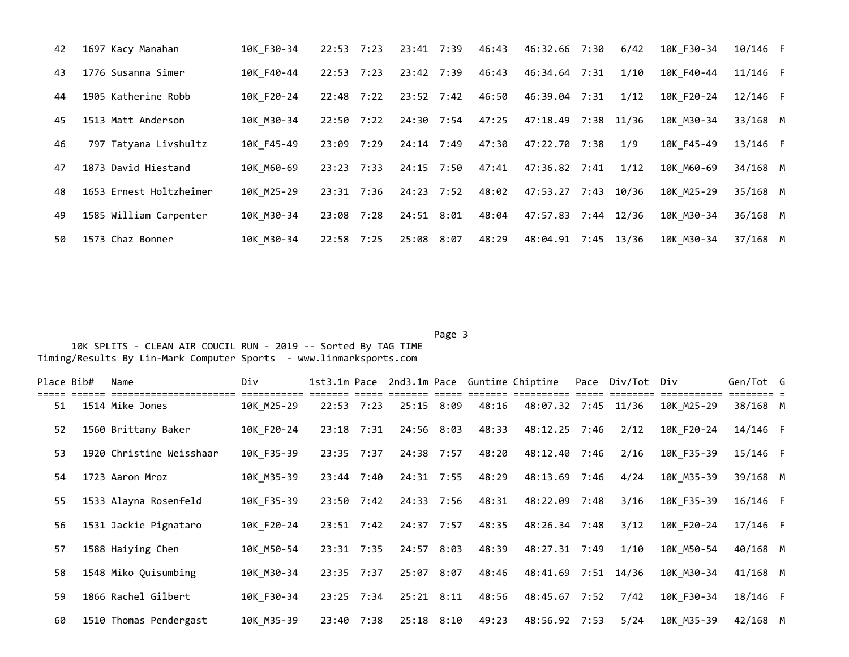| 42 | 1697 Kacy Manahan       | 10K F30-34 | 22:53 7:23    | 23:41 7:39 | 46:43 | 46:32.66 7:30       |      | 6/42       | 10K F30-34 | 10/146 F   |  |
|----|-------------------------|------------|---------------|------------|-------|---------------------|------|------------|------------|------------|--|
| 43 | 1776 Susanna Simer      | 10K F40-44 | 22:53 7:23    | 23:42 7:39 | 46:43 | 46:34.64 7:31       |      | 1/10       | 10K F40-44 | $11/146$ F |  |
| 44 | 1905 Katherine Robb     | 10K F20-24 | 22:48 7:22    | 23:52 7:42 | 46:50 | 46:39.04 7:31       |      | 1/12       | 10K F20-24 | $12/146$ F |  |
| 45 | 1513 Matt Anderson      | 10K M30-34 | 22:50 7:22    | 24:30 7:54 | 47:25 | 47:18.49            |      | 7:38 11/36 | 10K M30-34 | 33/168 M   |  |
| 46 | 797 Tatyana Livshultz   | 10K F45-49 | 23:09<br>7:29 | 24:14 7:49 | 47:30 | 47:22.70 7:38       |      | 1/9        | 10K F45-49 | $13/146$ F |  |
| 47 | 1873 David Hiestand     | 10K M60-69 | 23:23 7:33    | 24:15 7:50 | 47:41 | 47:36.82 7:41       |      | 1/12       | 10K M60-69 | 34/168 M   |  |
| 48 | 1653 Ernest Holtzheimer | 10K M25-29 | 23:31 7:36    | 24:23 7:52 | 48:02 | 47:53.27 7:43 10/36 |      |            | 10K M25-29 | 35/168 M   |  |
| 49 | 1585 William Carpenter  | 10K M30-34 | 23:08 7:28    | 24:51 8:01 | 48:04 | 47:57.83 7:44 12/36 |      |            | 10K M30-34 | 36/168 M   |  |
| 50 | 1573 Chaz Bonner        | 10K M30-34 | 22:58 7:25    | 25:08 8:07 | 48:29 | 48:04.91            | 7:45 | 13/36      | 10K M30-34 | 37/168 M   |  |

## Page 3 and 2012 and 2012 and 2012 and 2012 and 2012 and 2012 and 2012 and 2012 and 2012 and 2012 and 2012 and 10K SPLITS - CLEAN AIR COUCIL RUN - 2019 -- Sorted By TAG TIME Timing/Results By Lin-Mark Computer Sports - www.linmarksports.com

| Place Bib# | Name                     | Div        |       |                |            |                |       | 1st3.1m Pace 2nd3.1m Pace Guntime Chiptime | Pace Div/Tot Div |            | Gen/Tot G  |  |
|------------|--------------------------|------------|-------|----------------|------------|----------------|-------|--------------------------------------------|------------------|------------|------------|--|
| 51         | 1514 Mike Jones          | 10K M25-29 | 22:53 | 7:23           |            | 25:15 8:09     | 48:16 | 48:07.32 7:45 11/36                        |                  | 10K M25-29 | 38/168 M   |  |
| 52         | 1560 Brittany Baker      | 10K F20-24 |       | 23:18 7:31     |            | 24:56 8:03     | 48:33 | 48:12.25 7:46                              | 2/12             | 10K F20-24 | 14/146 F   |  |
| 53         | 1920 Christine Weisshaar | 10K_F35-39 |       | 23:35 7:37     |            | 24:38 7:57     | 48:20 | 48:12.40 7:46                              | 2/16             | 10K F35-39 | $15/146$ F |  |
| 54         | 1723 Aaron Mroz          | 10K M35-39 |       | 23:44 7:40     |            | 24:31 7:55     | 48:29 | 48:13.69 7:46                              | 4/24             | 10K M35-39 | 39/168 M   |  |
| 55         | 1533 Alayna Rosenfeld    | 10K F35-39 |       | 23:50 7:42     |            | 24:33 7:56     | 48:31 | 48:22.09 7:48                              | 3/16             | 10K F35-39 | $16/146$ F |  |
| 56         | 1531 Jackie Pignataro    | 10K F20-24 |       | 23:51 7:42     |            | 24:37 7:57     | 48:35 | 48:26.34 7:48                              | 3/12             | 10K F20-24 | $17/146$ F |  |
| 57         | 1588 Haiying Chen        | 10K M50-54 |       | 23:31 7:35     | 24:57 8:03 |                | 48:39 | 48:27.31 7:49                              | 1/10             | 10K M50-54 | 40/168 M   |  |
| 58         | 1548 Miko Quisumbing     | 10K M30-34 |       | $23:35$ $7:37$ |            | 25:07 8:07     | 48:46 | 48:41.69 7:51 14/36                        |                  | 10K M30-34 | $41/168$ M |  |
| 59         | 1866 Rachel Gilbert      | 10K F30-34 |       | 23:25 7:34     |            | $25:21$ $8:11$ | 48:56 | 48:45.67 7:52                              | 7/42             | 10K F30-34 | 18/146 F   |  |
| 60         | 1510 Thomas Pendergast   | 10K M35-39 |       | 23:40 7:38     |            | $25:18$ $8:10$ | 49:23 | 48:56.92 7:53                              | 5/24             | 10K M35-39 | 42/168 M   |  |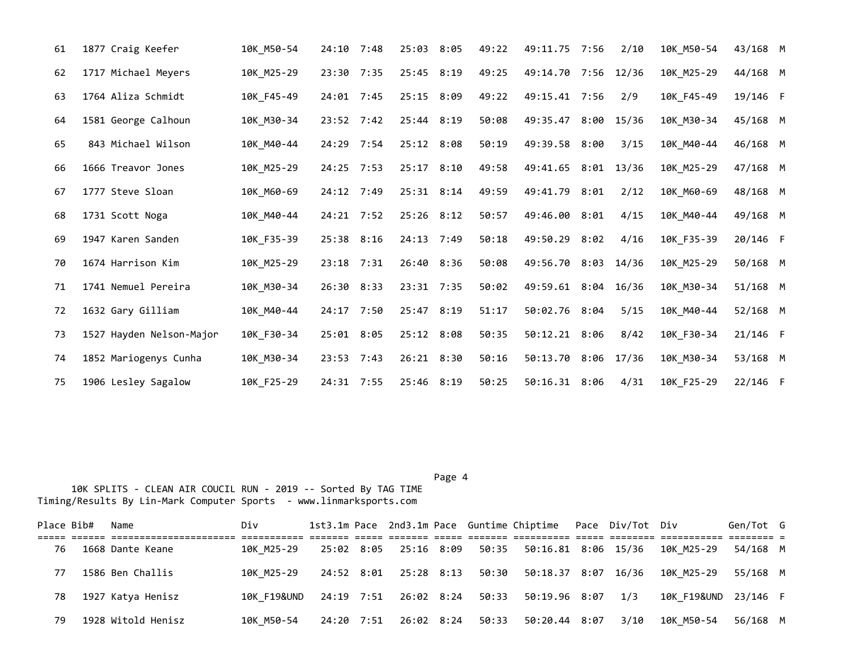| 61 | 1877 Craig Keefer        | 10K M50-54 | 24:10 7:48   | 25:03 8:05     | 49:22 | 49:11.75 7:56       |      | 2/10  | 10K_M50-54 | 43/168 M |  |
|----|--------------------------|------------|--------------|----------------|-------|---------------------|------|-------|------------|----------|--|
| 62 | 1717 Michael Meyers      | 10K_M25-29 | 23:30 7:35   | 25:45 8:19     | 49:25 | 49:14.70 7:56 12/36 |      |       | 10K_M25-29 | 44/168 M |  |
| 63 | 1764 Aliza Schmidt       | 10K F45-49 | $24:01$ 7:45 | 25:15 8:09     | 49:22 | 49:15.41 7:56       |      | 2/9   | 10K_F45-49 | 19/146 F |  |
| 64 | 1581 George Calhoun      | 10K_M30-34 | 23:52 7:42   | 25:44 8:19     | 50:08 | 49:35.47            | 8:00 | 15/36 | 10K_M30-34 | 45/168 M |  |
| 65 | 843 Michael Wilson       | 10K M40-44 | 24:29 7:54   | 25:12 8:08     | 50:19 | 49:39.58 8:00       |      | 3/15  | 10K M40-44 | 46/168 M |  |
| 66 | 1666 Treavor Jones       | 10K_M25-29 | $24:25$ 7:53 | $25:17$ 8:10   | 49:58 | 49:41.65 8:01       |      | 13/36 | 10K_M25-29 | 47/168 M |  |
| 67 | 1777 Steve Sloan         | 10K M60-69 | 24:12 7:49   | $25:31$ $8:14$ | 49:59 | 49:41.79 8:01       |      | 2/12  | 10K_M60-69 | 48/168 M |  |
| 68 | 1731 Scott Noga          | 10K M40-44 | 24:21 7:52   | 25:26 8:12     | 50:57 | 49:46.00 8:01       |      | 4/15  | 10K M40-44 | 49/168 M |  |
| 69 | 1947 Karen Sanden        | 10K F35-39 | 25:38 8:16   | $24:13$ 7:49   | 50:18 | 49:50.29 8:02       |      | 4/16  | 10K F35-39 | 20/146 F |  |
| 70 | 1674 Harrison Kim        | 10K_M25-29 | $23:18$ 7:31 | 26:40 8:36     | 50:08 | 49:56.70 8:03 14/36 |      |       | 10K_M25-29 | 50/168 M |  |
| 71 | 1741 Nemuel Pereira      | 10K M30-34 | 26:30 8:33   | 23:31 7:35     | 50:02 | 49:59.61 8:04 16/36 |      |       | 10K_M30-34 | 51/168 M |  |
| 72 | 1632 Gary Gilliam        | 10K M40-44 | 24:17 7:50   | 25:47 8:19     | 51:17 | 50:02.76 8:04       |      | 5/15  | 10K M40-44 | 52/168 M |  |
| 73 | 1527 Hayden Nelson-Major | 10K_F30-34 | 25:01 8:05   | 25:12 8:08     | 50:35 | 50:12.21 8:06       |      | 8/42  | 10K_F30-34 | 21/146 F |  |
| 74 | 1852 Mariogenys Cunha    | 10K M30-34 | $23:53$ 7:43 | 26:21 8:30     | 50:16 | 50:13.70 8:06       |      | 17/36 | 10K_M30-34 | 53/168 M |  |
| 75 | 1906 Lesley Sagalow      | 10K F25-29 | 24:31 7:55   | 25:46 8:19     | 50:25 | 50:16.31 8:06       |      | 4/31  | 10K F25-29 | 22/146 F |  |

Page 4 and the state of the state of the state of the state of the state of the state of the state of the state of the state of the state of the state of the state of the state of the state of the state of the state of the

| Place Bib# | Name               | Div         |  |                             |  | 1st3.1m Pace 2nd3.1m Pace Guntime Chiptime Pace Div/Tot Div |      |                                                            | Gen/Tot G |  |
|------------|--------------------|-------------|--|-----------------------------|--|-------------------------------------------------------------|------|------------------------------------------------------------|-----------|--|
| 76         | 1668 Dante Keane   | 10K M25-29  |  | 25:02 8:05 25:16 8:09       |  |                                                             |      | 50:35    50:16.81    8:06    15/36    10K    M25-29        | 54/168 M  |  |
| 77         | 1586 Ben Challis   | 10K M25-29  |  |                             |  |                                                             |      | 24:52 8:01 25:28 8:13 50:30 50:18.37 8:07 16/36 10K M25-29 | 55/168 M  |  |
| 78         | 1927 Katya Henisz  | 10K F19&UND |  | 24:19 7:51 26:02 8:24 50:33 |  | 50:19.96 8:07 1/3                                           |      | 10K F19&UND 23/146 F                                       |           |  |
| 79         | 1928 Witold Henisz | 10K M50-54  |  |                             |  | 24:20 7:51 26:02 8:24 50:33 50:20.44 8:07                   | 3/10 | 10K M50-54                                                 | 56/168 M  |  |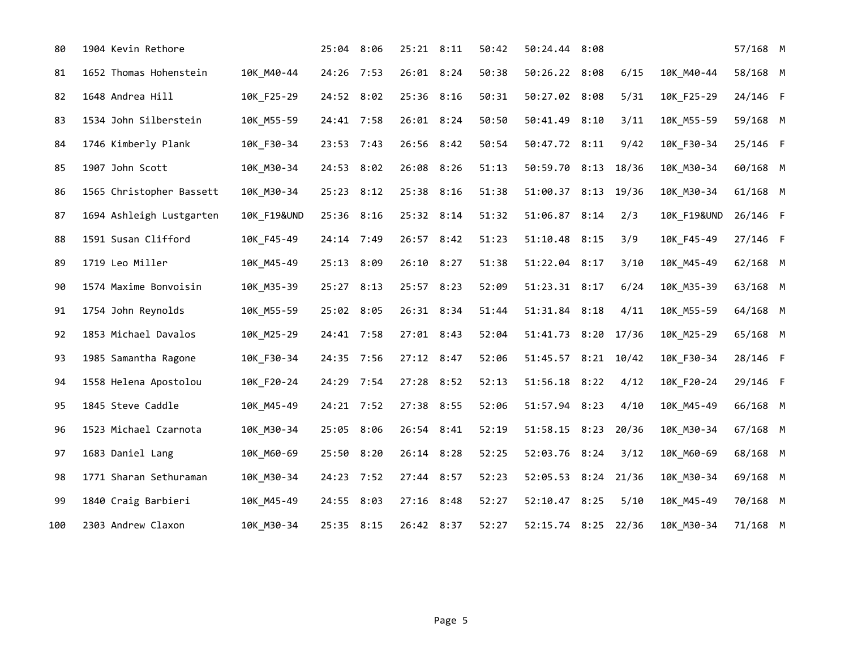| 80  | 1904 Kevin Rethore       |                        | 25:04 8:06 | 25:21 8:11     | 50:42 | 50:24.44 8:08       |       |                        | 57/168 M |  |
|-----|--------------------------|------------------------|------------|----------------|-------|---------------------|-------|------------------------|----------|--|
| 81  | 1652 Thomas Hohenstein   | 10K_M40-44             | 24:26 7:53 | 26:01 8:24     | 50:38 | 50:26.22 8:08       | 6/15  | 10K_M40-44             | 58/168 M |  |
| 82  | 1648 Andrea Hill         | 10K F25-29             | 24:52 8:02 | 25:36 8:16     | 50:31 | 50:27.02 8:08       | 5/31  | 10K F25-29             | 24/146 F |  |
| 83  | 1534 John Silberstein    | 10K_M55-59             | 24:41 7:58 | 26:01 8:24     | 50:50 | 50:41.49 8:10       | 3/11  | 10K_M55-59             | 59/168 M |  |
| 84  | 1746 Kimberly Plank      | 10K_F30-34             | 23:53 7:43 | 26:56 8:42     | 50:54 | 50:47.72 8:11       | 9/42  | 10K_F30-34             | 25/146 F |  |
| 85  | 1907 John Scott          | 10K M30-34             | 24:53 8:02 | 26:08 8:26     | 51:13 | 50:59.70 8:13       | 18/36 | 10K_M30-34             | 60/168 M |  |
| 86  | 1565 Christopher Bassett | 10K_M30-34             | 25:23 8:12 | 25:38 8:16     | 51:38 | 51:00.37 8:13       | 19/36 | 10K_M30-34             | 61/168 M |  |
| 87  | 1694 Ashleigh Lustgarten | <b>10K F19&amp;UND</b> | 25:36 8:16 | 25:32 8:14     | 51:32 | 51:06.87 8:14       | 2/3   | <b>10K F19&amp;UND</b> | 26/146 F |  |
| 88  | 1591 Susan Clifford      | 10K_F45-49             | 24:14 7:49 | 26:57 8:42     | 51:23 | 51:10.48 8:15       | 3/9   | 10K_F45-49             | 27/146 F |  |
| 89  | 1719 Leo Miller          | 10K_M45-49             | 25:13 8:09 | 26:10 8:27     | 51:38 | 51:22.04 8:17       | 3/10  | 10K_M45-49             | 62/168 M |  |
| 90  | 1574 Maxime Bonvoisin    | 10K M35-39             | 25:27 8:13 | 25:57 8:23     | 52:09 | 51:23.31 8:17       | 6/24  | 10K_M35-39             | 63/168 M |  |
| 91  | 1754 John Reynolds       | 10K_M55-59             | 25:02 8:05 | 26:31 8:34     | 51:44 | 51:31.84 8:18       | 4/11  | 10K_M55-59             | 64/168 M |  |
| 92  | 1853 Michael Davalos     | 10K_M25-29             | 24:41 7:58 | $27:01$ 8:43   | 52:04 | 51:41.73 8:20       | 17/36 | 10K_M25-29             | 65/168 M |  |
| 93  | 1985 Samantha Ragone     | 10K F30-34             | 24:35 7:56 | 27:12 8:47     | 52:06 | 51:45.57 8:21 10/42 |       | 10K F30-34             | 28/146 F |  |
| 94  | 1558 Helena Apostolou    | 10K_F20-24             | 24:29 7:54 | 27:28 8:52     | 52:13 | 51:56.18 8:22       | 4/12  | 10K_F20-24             | 29/146 F |  |
| 95  | 1845 Steve Caddle        | 10K M45-49             | 24:21 7:52 | 27:38 8:55     | 52:06 | 51:57.94 8:23       | 4/10  | 10K M45-49             | 66/168 M |  |
| 96  | 1523 Michael Czarnota    | 10K_M30-34             | 25:05 8:06 | 26:54 8:41     | 52:19 | 51:58.15 8:23       | 20/36 | 10K_M30-34             | 67/168 M |  |
| 97  | 1683 Daniel Lang         | 10K M60-69             | 25:50 8:20 | $26:14$ $8:28$ | 52:25 | 52:03.76 8:24       | 3/12  | 10K_M60-69             | 68/168 M |  |
| 98  | 1771 Sharan Sethuraman   | 10K M30-34             | 24:23 7:52 | 27:44 8:57     | 52:23 | 52:05.53 8:24       | 21/36 | 10K M30-34             | 69/168 M |  |
| 99  | 1840 Craig Barbieri      | 10K_M45-49             | 24:55 8:03 | 27:16 8:48     | 52:27 | 52:10.47 8:25       | 5/10  | 10K_M45-49             | 70/168 M |  |
| 100 | 2303 Andrew Claxon       | 10K M30-34             | 25:35 8:15 | 26:42 8:37     | 52:27 | 52:15.74 8:25       | 22/36 | 10K M30-34             | 71/168 M |  |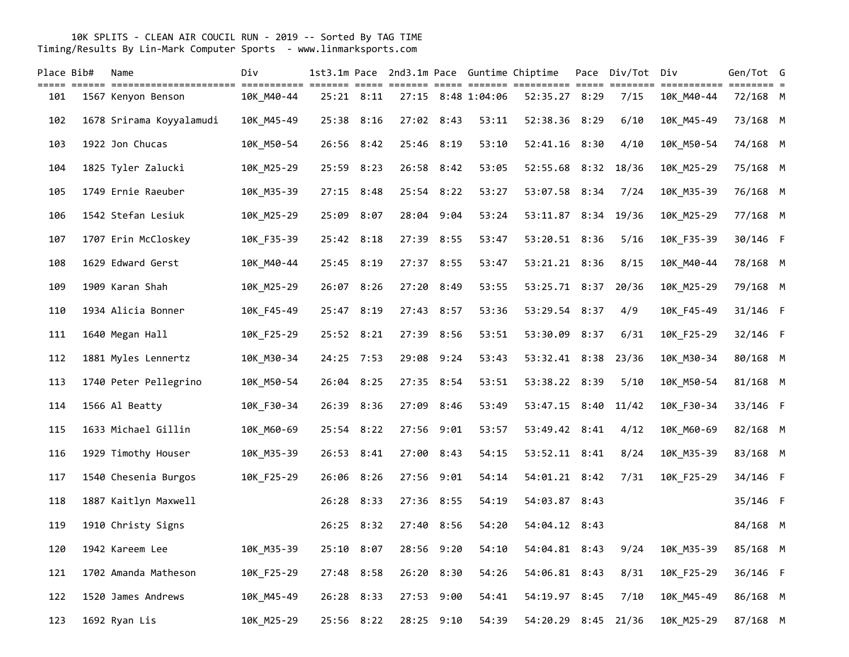| Place Bib# | Name                     | Div        |       |            |       |                |                    | 1st3.1m Pace 2nd3.1m Pace Guntime Chiptime | Pace Div/Tot Div |                           | Gen/Tot G                       |  |
|------------|--------------------------|------------|-------|------------|-------|----------------|--------------------|--------------------------------------------|------------------|---------------------------|---------------------------------|--|
| 101        | 1567 Kenyon Benson       | 10K M40-44 |       | 25:21 8:11 |       |                | 27:15 8:48 1:04:06 | 52:35.27 8:29                              | 7/15             | ===========<br>10K M40-44 | $=$ $=$ $=$ $=$ $=$<br>72/168 M |  |
| 102        | 1678 Srirama Koyyalamudi | 10K_M45-49 |       | 25:38 8:16 |       | 27:02 8:43     | 53:11              | 52:38.36 8:29                              | 6/10             | 10K_M45-49                | 73/168 M                        |  |
| 103        | 1922 Jon Chucas          | 10K_M50-54 |       | 26:56 8:42 |       | 25:46 8:19     | 53:10              | 52:41.16 8:30                              | 4/10             | 10K_M50-54                | 74/168 M                        |  |
| 104        | 1825 Tyler Zalucki       | 10K_M25-29 | 25:59 | 8:23       |       | 26:58 8:42     | 53:05              | 52:55.68 8:32                              | 18/36            | 10K_M25-29                | 75/168 M                        |  |
| 105        | 1749 Ernie Raeuber       | 10K_M35-39 | 27:15 | 8:48       |       | 25:54 8:22     | 53:27              | 53:07.58 8:34                              | 7/24             | 10K_M35-39                | 76/168 M                        |  |
| 106        | 1542 Stefan Lesiuk       | 10K_M25-29 | 25:09 | 8:07       |       | 28:04 9:04     | 53:24              | 53:11.87 8:34                              | 19/36            | 10K_M25-29                | 77/168 M                        |  |
| 107        | 1707 Erin McCloskey      | 10K F35-39 |       | 25:42 8:18 |       | 27:39 8:55     | 53:47              | 53:20.51 8:36                              | 5/16             | 10K_F35-39                | 30/146 F                        |  |
| 108        | 1629 Edward Gerst        | 10K_M40-44 |       | 25:45 8:19 |       | 27:37 8:55     | 53:47              | 53:21.21 8:36                              | 8/15             | 10K_M40-44                | 78/168 M                        |  |
| 109        | 1909 Karan Shah          | 10K_M25-29 |       | 26:07 8:26 |       | 27:20 8:49     | 53:55              | 53:25.71 8:37                              | 20/36            | 10K_M25-29                | 79/168 M                        |  |
| 110        | 1934 Alicia Bonner       | 10K F45-49 | 25:47 | 8:19       |       | 27:43 8:57     | 53:36              | 53:29.54 8:37                              | 4/9              | 10K_F45-49                | 31/146 F                        |  |
| 111        | 1640 Megan Hall          | 10K_F25-29 |       | 25:52 8:21 |       | 27:39 8:56     | 53:51              | 53:30.09 8:37                              | 6/31             | 10K_F25-29                | 32/146 F                        |  |
| 112        | 1881 Myles Lennertz      | 10K_M30-34 |       | 24:25 7:53 |       | 29:08 9:24     | 53:43              | 53:32.41 8:38                              | 23/36            | 10K_M30-34                | 80/168 M                        |  |
| 113        | 1740 Peter Pellegrino    | 10K M50-54 | 26:04 | 8:25       |       | 27:35 8:54     | 53:51              | 53:38.22 8:39                              | 5/10             | 10K_M50-54                | 81/168 M                        |  |
| 114        | 1566 Al Beatty           | 10K_F30-34 |       | 26:39 8:36 |       | 27:09 8:46     | 53:49              | 53:47.15 8:40                              | 11/42            | 10K_F30-34                | 33/146 F                        |  |
| 115        | 1633 Michael Gillin      | 10K_M60-69 |       | 25:54 8:22 |       | 27:56 9:01     | 53:57              | 53:49.42 8:41                              | 4/12             | 10K_M60-69                | 82/168 M                        |  |
| 116        | 1929 Timothy Houser      | 10K_M35-39 | 26:53 | 8:41       | 27:00 | 8:43           | 54:15              | 53:52.11 8:41                              | 8/24             | 10K_M35-39                | 83/168 M                        |  |
| 117        | 1540 Chesenia Burgos     | 10K F25-29 |       | 26:06 8:26 |       | 27:56 9:01     | 54:14              | 54:01.21 8:42                              | 7/31             | 10K_F25-29                | 34/146 F                        |  |
| 118        | 1887 Kaitlyn Maxwell     |            | 26:28 | 8:33       |       | 27:36 8:55     | 54:19              | 54:03.87 8:43                              |                  |                           | 35/146 F                        |  |
| 119        | 1910 Christy Signs       |            |       | 26:25 8:32 |       | 27:40 8:56     | 54:20              | 54:04.12 8:43                              |                  |                           | 84/168 M                        |  |
| 120        | 1942 Kareem Lee          | 10K_M35-39 | 25:10 | 8:07       |       | 28:56 9:20     | 54:10              | 54:04.81 8:43                              | 9/24             | 10K_M35-39                | 85/168 M                        |  |
| 121        | 1702 Amanda Matheson     | 10K_F25-29 | 27:48 | 8:58       |       | 26:20 8:30     | 54:26              | 54:06.81 8:43                              | 8/31             | 10K_F25-29                | 36/146 F                        |  |
| 122        | 1520 James Andrews       | 10K M45-49 | 26:28 | 8:33       |       | 27:53 9:00     | 54:41              | 54:19.97 8:45                              | 7/10             | 10K_M45-49                | 86/168 M                        |  |
| 123        | 1692 Ryan Lis            | 10K_M25-29 |       | 25:56 8:22 |       | $28:25$ $9:10$ | 54:39              | 54:20.29 8:45                              | 21/36            | 10K M25-29                | 87/168 M                        |  |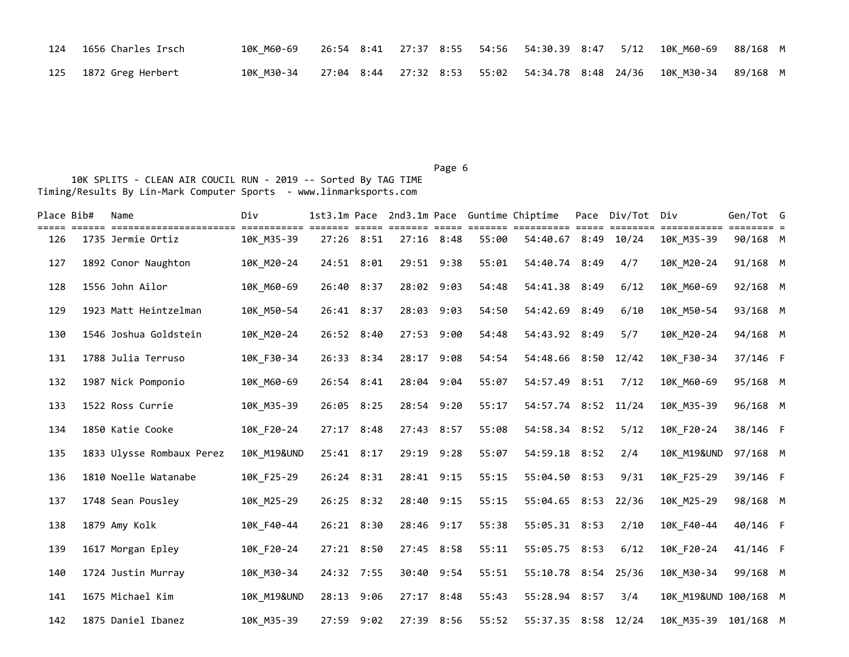| 124 1656 Charles Irsch | 10K M60-69 | 26:54 8:41  27:37  8:55  54:56  54:30.39  8:47  5/12  10K  M60-69  88/168  M   |  |  |  |
|------------------------|------------|--------------------------------------------------------------------------------|--|--|--|
| 125 1872 Greg Herbert  |            | 10K M30-34 27:04 8:44 27:32 8:53 55:02 54:34.78 8:48 24/36 10K M30-34 89/168 M |  |  |  |

Page 6 and the contract of the contract of the contract of the contract of the contract of the contract of the contract of the contract of the contract of the contract of the contract of the contract of the contract of the

| Place Bib# | Name                      | Div                    |            | === | <b>EEEEE</b> |       | 1st3.1m Pace 2nd3.1m Pace Guntime Chiptime<br>accordo concercero conco | Pace Div/Tot Div<br>======== |                        | Gen/Tot G |  |
|------------|---------------------------|------------------------|------------|-----|--------------|-------|------------------------------------------------------------------------|------------------------------|------------------------|-----------|--|
| 126        | 1735 Jermie Ortiz         | 10K M35-39             | 27:26 8:51 |     | $27:16$ 8:48 | 55:00 | 54:40.67 8:49 10/24                                                    |                              | 10K M35-39             | 90/168 M  |  |
| 127        | 1892 Conor Naughton       | 10K M20-24             | 24:51 8:01 |     | 29:51 9:38   | 55:01 | 54:40.74 8:49                                                          | 4/7                          | 10K M20-24             | 91/168 M  |  |
| 128        | 1556 John Ailor           | 10K M60-69             | 26:40 8:37 |     | 28:02 9:03   | 54:48 | 54:41.38 8:49                                                          | 6/12                         | 10K M60-69             | 92/168 M  |  |
| 129        | 1923 Matt Heintzelman     | 10K M50-54             | 26:41 8:37 |     | 28:03 9:03   | 54:50 | 54:42.69 8:49                                                          | 6/10                         | 10K M50-54             | 93/168 M  |  |
| 130        | 1546 Joshua Goldstein     | 10K M20-24             | 26:52 8:40 |     | 27:53 9:00   | 54:48 | 54:43.92 8:49                                                          | 5/7                          | 10K M20-24             | 94/168 M  |  |
| 131        | 1788 Julia Terruso        | 10K F30-34             | 26:33 8:34 |     | 28:17 9:08   | 54:54 | 54:48.66 8:50                                                          | 12/42                        | 10K F30-34             | 37/146 F  |  |
| 132        | 1987 Nick Pomponio        | 10K_M60-69             | 26:54 8:41 |     | 28:04 9:04   | 55:07 | 54:57.49 8:51                                                          | 7/12                         | 10K_M60-69             | 95/168 M  |  |
| 133        | 1522 Ross Currie          | 10K M35-39             | 26:05 8:25 |     | 28:54 9:20   | 55:17 | 54:57.74 8:52 11/24                                                    |                              | 10K M35-39             | 96/168 M  |  |
| 134        | 1850 Katie Cooke          | 10K F20-24             | 27:17 8:48 |     | 27:43 8:57   | 55:08 | 54:58.34 8:52                                                          | 5/12                         | 10K F20-24             | 38/146 F  |  |
| 135        | 1833 Ulysse Rombaux Perez | 10K_M19&UND            | 25:41 8:17 |     | 29:19 9:28   | 55:07 | 54:59.18 8:52                                                          | 2/4                          | <b>10K M19&amp;UND</b> | 97/168 M  |  |
| 136        | 1810 Noelle Watanabe      | 10K F25-29             | 26:24 8:31 |     | 28:41 9:15   | 55:15 | 55:04.50 8:53                                                          | 9/31                         | 10K F25-29             | 39/146 F  |  |
| 137        | 1748 Sean Pousley         | 10K M25-29             | 26:25 8:32 |     | 28:40 9:15   | 55:15 | 55:04.65 8:53                                                          | 22/36                        | 10K_M25-29             | 98/168 M  |  |
| 138        | 1879 Amy Kolk             | 10K F40-44             | 26:21 8:30 |     | 28:46 9:17   | 55:38 | 55:05.31 8:53                                                          | 2/10                         | 10K F40-44             | 40/146 F  |  |
| 139        | 1617 Morgan Epley         | 10K F20-24             | 27:21 8:50 |     | 27:45 8:58   | 55:11 | 55:05.75 8:53                                                          | 6/12                         | 10K F20-24             | 41/146 F  |  |
| 140        | 1724 Justin Murray        | 10K M30-34             | 24:32 7:55 |     | 30:40 9:54   | 55:51 | 55:10.78 8:54 25/36                                                    |                              | 10K M30-34             | 99/168 M  |  |
| 141        | 1675 Michael Kim          | <b>10K M19&amp;UND</b> | 28:13 9:06 |     | $27:17$ 8:48 | 55:43 | 55:28.94 8:57                                                          | 3/4                          | 10K M19&UND 100/168 M  |           |  |
| 142        | 1875 Daniel Ibanez        | 10K M35-39             | 27:59 9:02 |     | 27:39 8:56   | 55:52 | 55:37.35 8:58 12/24                                                    |                              | 10K M35-39             | 101/168 M |  |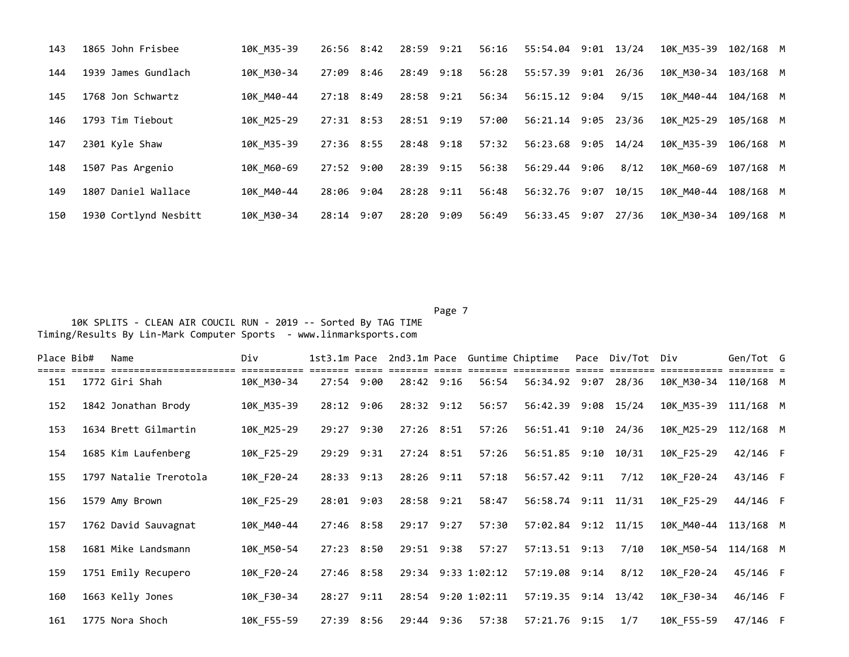| 143 | 1865 John Frisbee     | 10K M35-39 | 26:56 8:42 | 28:59 9:21 | 56:16 | 55:54.04 9:01 13/24 |      | 10K M35-39 | 102/168 M |  |
|-----|-----------------------|------------|------------|------------|-------|---------------------|------|------------|-----------|--|
| 144 | 1939 James Gundlach   | 10K M30-34 | 27:09 8:46 | 28:49 9:18 | 56:28 | 55:57.39 9:01 26/36 |      | 10K M30-34 | 103/168 M |  |
| 145 | 1768 Jon Schwartz     | 10K M40-44 | 27:18 8:49 | 28:58 9:21 | 56:34 | 56:15.12 9:04       | 9/15 | 10K M40-44 | 104/168 M |  |
| 146 | 1793 Tim Tiebout      | 10K M25-29 | 27:31 8:53 | 28:51 9:19 | 57:00 | 56:21.14 9:05 23/36 |      | 10K M25-29 | 105/168 M |  |
| 147 | 2301 Kyle Shaw        | 10K M35-39 | 27:36 8:55 | 28:48 9:18 | 57:32 | 56:23.68 9:05 14/24 |      | 10K M35-39 | 106/168 M |  |
| 148 | 1507 Pas Argenio      | 10K M60-69 | 27:52 9:00 | 28:39 9:15 | 56:38 | 56:29.44 9:06       | 8/12 | 10K M60-69 | 107/168 M |  |
| 149 | 1807 Daniel Wallace   | 10K M40-44 | 28:06 9:04 | 28:28 9:11 | 56:48 | 56:32.76 9:07 10/15 |      | 10K M40-44 | 108/168 M |  |
| 150 | 1930 Cortlynd Nesbitt | 10K M30-34 | 28:14 9:07 | 28:20 9:09 | 56:49 | 56:33.45 9:07 27/36 |      | 10K M30-34 | 109/168 M |  |

 10K SPLITS - CLEAN AIR COUCIL RUN - 2019 -- Sorted By TAG TIME Timing/Results By Lin-Mark Computer Sports - www.linmarksports.com

Page 7 and 2012 and 2012 and 2012 and 2012 and 2012 and 2012 and 2012 and 2012 and 2012 and 2012 and 2012 and

| Place Bib# | Name                   | Div        |            |            |              |                    | 1st3.1m Pace 2nd3.1m Pace Guntime Chiptime | Pace Div/Tot Div |            | Gen/Tot G |  |
|------------|------------------------|------------|------------|------------|--------------|--------------------|--------------------------------------------|------------------|------------|-----------|--|
| 151        | 1772 Giri Shah         | 10K M30-34 |            | 27:54 9:00 | 28:42 9:16   | 56:54              | 56:34.92 9:07 28/36                        |                  | 10K M30-34 | 110/168 M |  |
| 152        | 1842 Jonathan Brody    | 10K M35-39 |            | 28:12 9:06 | 28:32 9:12   | 56:57              | 56:42.39 9:08 15/24                        |                  | 10K M35-39 | 111/168 M |  |
| 153        | 1634 Brett Gilmartin   | 10K M25-29 | 29:27 9:30 |            | 27:26 8:51   | 57:26              | 56:51.41 9:10 24/36                        |                  | 10K M25-29 | 112/168 M |  |
| 154        | 1685 Kim Laufenberg    | 10K F25-29 | 29:29 9:31 |            | $27:24$ 8:51 | 57:26              | 56:51.85 9:10 10/31                        |                  | 10K F25-29 | 42/146 F  |  |
| 155        | 1797 Natalie Trerotola | 10K F20-24 | 28:33 9:13 |            | $28:26$ 9:11 | 57:18              | 56:57.42 9:11                              | 7/12             | 10K F20-24 | 43/146 F  |  |
| 156        | 1579 Amy Brown         | 10K F25-29 | 28:01 9:03 |            | 28:58 9:21   | 58:47              | 56:58.74 9:11 11/31                        |                  | 10K F25-29 | 44/146 F  |  |
| 157        | 1762 David Sauvagnat   | 10K M40-44 | 27:46 8:58 |            | 29:17 9:27   | 57:30              | 57:02.84 9:12 11/15                        |                  | 10K M40-44 | 113/168 M |  |
| 158        | 1681 Mike Landsmann    | 10K M50-54 | 27:23 8:50 |            | 29:51 9:38   | 57:27              | 57:13.51 9:13                              | 7/10             | 10K M50-54 | 114/168 M |  |
| 159        | 1751 Emily Recupero    | 10K F20-24 | 27:46 8:58 |            |              | 29:34 9:33 1:02:12 | 57:19.08 9:14                              | 8/12             | 10K F20-24 | 45/146 F  |  |
| 160        | 1663 Kelly Jones       | 10K F30-34 | 28:27 9:11 |            |              | 28:54 9:20 1:02:11 | 57:19.35 9:14 13/42                        |                  | 10K F30-34 | 46/146 F  |  |
| 161        | 1775 Nora Shoch        | 10K F55-59 | 27:39 8:56 |            | 29:44 9:36   | 57:38              | 57:21.76 9:15                              | 1/7              | 10K F55-59 | 47/146 F  |  |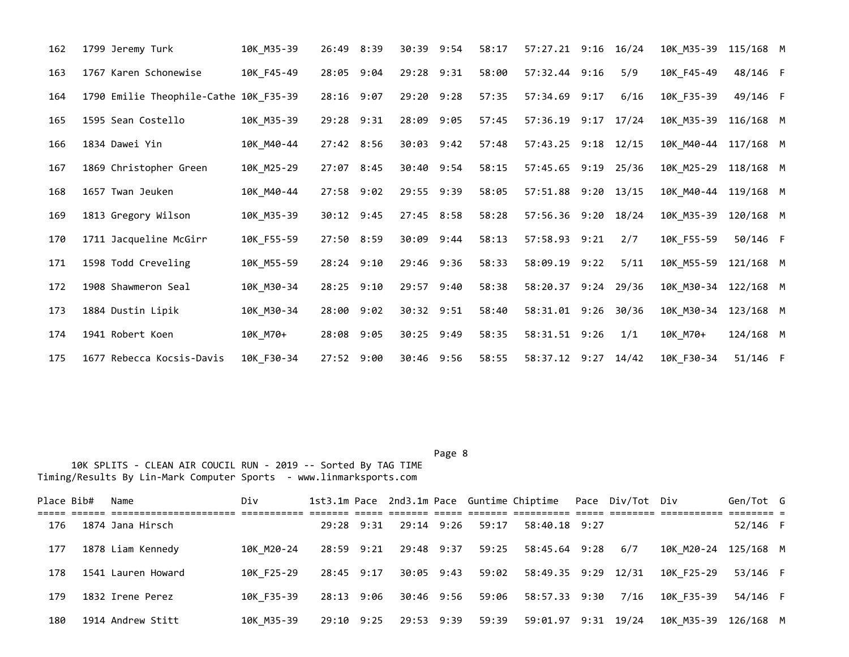| 162 | 1799 Jeremy Turk                       | 10K M35-39 | 26:49 8:39   | 30:39 9:54     | 58:17 | 57:27.21 9:16 16/24 |       | 10K M35-39 | 115/168 M   |  |
|-----|----------------------------------------|------------|--------------|----------------|-------|---------------------|-------|------------|-------------|--|
| 163 | 1767 Karen Schonewise                  | 10K_F45-49 | 28:05 9:04   | 29:28 9:31     | 58:00 | 57:32.44 9:16       | 5/9   | 10K F45-49 | 48/146 F    |  |
| 164 | 1790 Emilie Theophile-Cathe 10K_F35-39 |            | $28:16$ 9:07 | $29:20$ $9:28$ | 57:35 | 57:34.69 9:17       | 6/16  | 10K_F35-39 | 49/146 F    |  |
| 165 | 1595 Sean Costello                     | 10K M35-39 | 29:28 9:31   | 28:09 9:05     | 57:45 | 57:36.19 9:17       | 17/24 | 10K M35-39 | $116/168$ M |  |
| 166 | 1834 Dawei Yin                         | 10K M40-44 | 27:42 8:56   | 30:03 9:42     | 57:48 | 57:43.25 9:18 12/15 |       | 10K M40-44 | 117/168 M   |  |
| 167 | 1869 Christopher Green                 | 10K_M25-29 | 27:07 8:45   | 30:40 9:54     | 58:15 | 57:45.65 9:19 25/36 |       | 10K_M25-29 | 118/168 M   |  |
| 168 | 1657 Twan Jeuken                       | 10K_M40-44 | 27:58 9:02   | 29:55 9:39     | 58:05 | 57:51.88 9:20 13/15 |       | 10K M40-44 | 119/168 M   |  |
| 169 | 1813 Gregory Wilson                    | 10K_M35-39 | 30:12 9:45   | 27:45 8:58     | 58:28 | 57:56.36 9:20 18/24 |       | 10K_M35-39 | 120/168 M   |  |
| 170 | 1711 Jacqueline McGirr                 | 10K F55-59 | 27:50 8:59   | 30:09 9:44     | 58:13 | 57:58.93 9:21       | 2/7   | 10K F55-59 | 50/146 F    |  |
| 171 | 1598 Todd Creveling                    | 10K_M55-59 | 28:24 9:10   | 29:46 9:36     | 58:33 | 58:09.19 9:22       | 5/11  | 10K_M55-59 | 121/168 M   |  |
| 172 | 1908 Shawmeron Seal                    | 10K_M30-34 | 28:25 9:10   | 29:57 9:40     | 58:38 | 58:20.37 9:24 29/36 |       | 10K M30-34 | 122/168 M   |  |
| 173 | 1884 Dustin Lipik                      | 10K M30-34 | 28:00 9:02   | 30:32 9:51     | 58:40 | 58:31.01 9:26 30/36 |       | 10K M30-34 | 123/168 M   |  |
| 174 | 1941 Robert Koen                       | 10K_M70+   | 28:08 9:05   | 30:25 9:49     | 58:35 | 58:31.51 9:26       | 1/1   | 10K M70+   | 124/168 M   |  |
| 175 | 1677 Rebecca Kocsis-Davis              | 10K F30-34 | 27:52 9:00   | 30:46 9:56     | 58:55 | 58:37.12 9:27 14/42 |       | 10K_F30-34 | 51/146 F    |  |

Page 8 and 2012 and 2012 and 2012 and 2012 and 2012 and 2012 and 2012 and 2012 and 2012 and 2012 and 2012 and

| Place Bib# | Name               | Div        |            |                       |       | 1st3.1m Pace 2nd3.1m Pace Guntime Chiptime Pace Div/Tot Div |      |                      | Gen/Tot G |  |
|------------|--------------------|------------|------------|-----------------------|-------|-------------------------------------------------------------|------|----------------------|-----------|--|
| 176        | 1874 Jana Hirsch   |            | 29:28 9:31 | 29:14 9:26            | 59:17 | 58:40.18 9:27                                               |      |                      | 52/146 F  |  |
| 177        | 1878 Liam Kennedy  | 10K M20-24 | 28:59 9:21 | 29:48 9:37            | 59:25 | 58:45.64 9:28 6/7                                           |      | 10K M20-24 125/168 M |           |  |
| 178        | 1541 Lauren Howard | 10K F25-29 | 28:45 9:17 | 30:05 9:43            | 59:02 | 58:49.35 9:29 12/31                                         |      | 10K F25-29           | 53/146 F  |  |
| 179        | 1832 Irene Perez   | 10K F35-39 | 28:13 9:06 | 30:46 9:56            | 59:06 | 58:57.33 9:30                                               | 7/16 | 10K F35-39           | 54/146 F  |  |
| 180        | 1914 Andrew Stitt  | 10K M35-39 |            | 29:10 9:25 29:53 9:39 | 59:39 | 59:01.97 9:31 19/24                                         |      | 10K M35-39 126/168 M |           |  |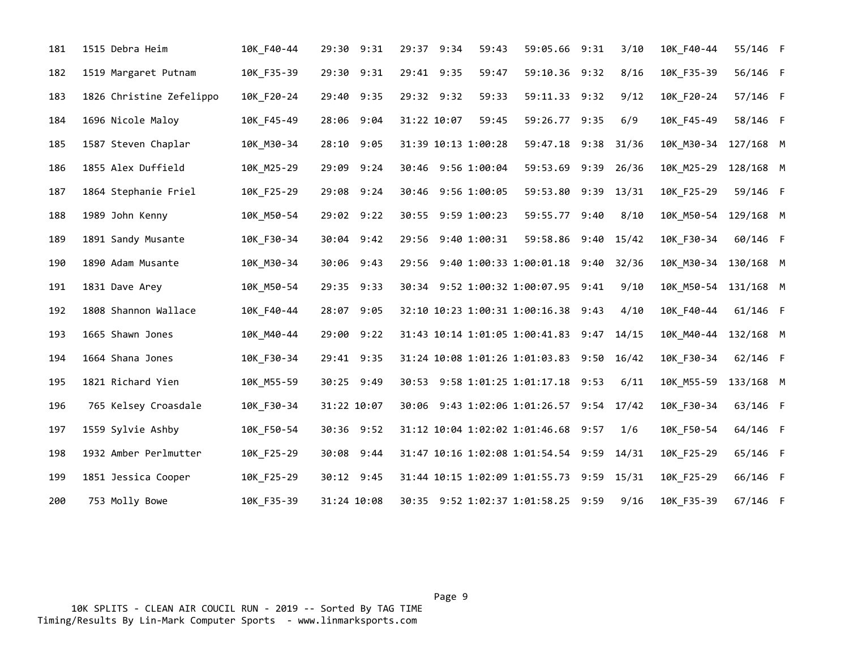| 181 | 1515 Debra Heim          | 10K_F40-44 | 29:30 9:31  | 29:37 9:34          | 59:43 | 59:05.66 9:31                             | 3/10  | 10K_F40-44           | 55/146 F   |  |
|-----|--------------------------|------------|-------------|---------------------|-------|-------------------------------------------|-------|----------------------|------------|--|
| 182 | 1519 Margaret Putnam     | 10K_F35-39 | 29:30 9:31  | 29:41 9:35          | 59:47 | 59:10.36 9:32                             | 8/16  | 10K_F35-39           | 56/146 F   |  |
| 183 | 1826 Christine Zefelippo | 10K F20-24 | 29:40 9:35  | 29:32 9:32          | 59:33 | 59:11.33 9:32                             | 9/12  | 10K F20-24           | 57/146 F   |  |
| 184 | 1696 Nicole Maloy        | 10K F45-49 | 28:06 9:04  | 31:22 10:07         | 59:45 | 59:26.77 9:35                             | 6/9   | 10K F45-49           | 58/146 F   |  |
| 185 | 1587 Steven Chaplar      | 10K M30-34 | 28:10 9:05  | 31:39 10:13 1:00:28 |       | 59:47.18 9:38 31/36                       |       | 10K M30-34           | 127/168 M  |  |
| 186 | 1855 Alex Duffield       | 10K_M25-29 | 29:09 9:24  | 30:46 9:56 1:00:04  |       | 59:53.69 9:39 26/36                       |       | 10K_M25-29           | 128/168 M  |  |
| 187 | 1864 Stephanie Friel     | 10K_F25-29 | 29:08 9:24  | 30:46 9:56 1:00:05  |       | 59:53.80 9:39 13/31                       |       | 10K_F25-29           | 59/146 F   |  |
| 188 | 1989 John Kenny          | 10K M50-54 | 29:02 9:22  | 30:55 9:59 1:00:23  |       | 59:55.77 9:40                             | 8/10  | 10K M50-54           | 129/168 M  |  |
| 189 | 1891 Sandy Musante       | 10K_F30-34 | 30:04 9:42  | 29:56 9:40 1:00:31  |       | 59:58.86 9:40 15/42                       |       | 10K F30-34           | 60/146 F   |  |
| 190 | 1890 Adam Musante        | 10K_M30-34 | 30:06 9:43  |                     |       | 29:56 9:40 1:00:33 1:00:01.18 9:40 32/36  |       | 10K_M30-34 130/168 M |            |  |
| 191 | 1831 Dave Arey           | 10K_M50-54 | 29:35 9:33  |                     |       | 30:34 9:52 1:00:32 1:00:07.95 9:41        | 9/10  | 10K_M50-54           | 131/168 M  |  |
| 192 | 1808 Shannon Wallace     | 10K F40-44 | 28:07 9:05  |                     |       | 32:10 10:23 1:00:31 1:00:16.38 9:43       | 4/10  | 10K_F40-44           | $61/146$ F |  |
| 193 | 1665 Shawn Jones         | 10K M40-44 | 29:00 9:22  |                     |       | 31:43 10:14 1:01:05 1:00:41.83 9:47       | 14/15 | 10K M40-44           | 132/168 M  |  |
| 194 | 1664 Shana Jones         | 10K F30-34 | 29:41 9:35  |                     |       | 31:24 10:08 1:01:26 1:01:03.83 9:50 16/42 |       | 10K F30-34           | 62/146 F   |  |
| 195 | 1821 Richard Yien        | 10K_M55-59 | 30:25 9:49  |                     |       | 30:53 9:58 1:01:25 1:01:17.18 9:53        | 6/11  | 10K_M55-59           | 133/168 M  |  |
| 196 | 765 Kelsey Croasdale     | 10K_F30-34 | 31:22 10:07 |                     |       | 30:06 9:43 1:02:06 1:01:26.57 9:54 17/42  |       | 10K F30-34           | 63/146 F   |  |
| 197 | 1559 Sylvie Ashby        | 10K F50-54 | 30:36 9:52  |                     |       | 31:12 10:04 1:02:02 1:01:46.68 9:57       | 1/6   | 10K F50-54           | 64/146 F   |  |
| 198 | 1932 Amber Perlmutter    | 10K F25-29 | 30:08 9:44  |                     |       | 31:47 10:16 1:02:08 1:01:54.54 9:59 14/31 |       | 10K F25-29           | 65/146 F   |  |
| 199 | 1851 Jessica Cooper      | 10K_F25-29 | 30:12 9:45  |                     |       | 31:44 10:15 1:02:09 1:01:55.73 9:59 15/31 |       | 10K_F25-29           | 66/146 F   |  |
| 200 | 753 Molly Bowe           | 10K_F35-39 | 31:24 10:08 |                     |       | 30:35 9:52 1:02:37 1:01:58.25 9:59        | 9/16  | 10K_F35-39           | 67/146 F   |  |

Page 9 - Page 9 - Page 9 - Page 9 - Page 9 - Page 9 - Page 9 - Page 9 - Page 9 - Page 9 - Page 9 10K SPLITS - CLEAN AIR COUCIL RUN - 2019 -- Sorted By TAG TIME Timing/Results By Lin-Mark Computer Sports - www.linmarksports.com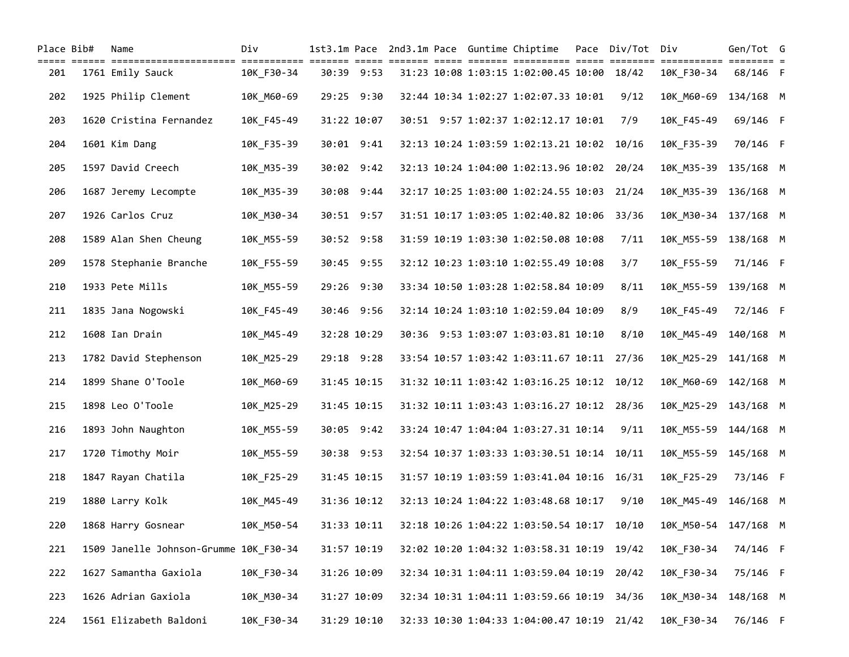| Place Bib#   | Name                                                                                                                | Div        |             |  | 1st3.1m Pace 2nd3.1m Pace Guntime Chiptime Pace Div/Tot Div |      |                                                                                                   | Gen/Tot G |  |
|--------------|---------------------------------------------------------------------------------------------------------------------|------------|-------------|--|-------------------------------------------------------------|------|---------------------------------------------------------------------------------------------------|-----------|--|
| =====<br>201 | 1761 Emily Sauck                                                                                                    | 10K F30-34 | 30:39 9:53  |  | 31:23 10:08 1:03:15 1:02:00.45 10:00 18/42                  |      | <u> soore oosaase oosaa oosaase oosaasaase oosaa oosaasaa oosaasaase oosaasee o</u><br>10K F30-34 | 68/146 F  |  |
| 202          | 1925 Philip Clement                                                                                                 | 10K M60-69 | 29:25 9:30  |  | 32:44 10:34 1:02:27 1:02:07.33 10:01                        | 9/12 | 10K M60-69                                                                                        | 134/168 M |  |
| 203          | 1620 Cristina Fernandez                                                                                             | 10K_F45-49 | 31:22 10:07 |  | 30:51 9:57 1:02:37 1:02:12.17 10:01                         | 7/9  | 10K F45-49                                                                                        | 69/146 F  |  |
| 204          | 1601 Kim Dang                                                                                                       | 10K_F35-39 | 30:01 9:41  |  | 32:13 10:24 1:03:59 1:02:13.21 10:02 10/16                  |      | 10K F35-39                                                                                        | 70/146 F  |  |
| 205          | 1597 David Creech                                                                                                   | 10K_M35-39 | 30:02 9:42  |  | 32:13 10:24 1:04:00 1:02:13.96 10:02 20/24                  |      | 10K M35-39 135/168 M                                                                              |           |  |
| 206          | 1687 Jeremy Lecompte                                                                                                | 10K M35-39 | 30:08 9:44  |  | 32:17 10:25 1:03:00 1:02:24.55 10:03 21/24                  |      | 10K M35-39 136/168 M                                                                              |           |  |
| 207          | 1926 Carlos Cruz                                                                                                    | 10K_M30-34 | 30:51 9:57  |  | 31:51 10:17 1:03:05 1:02:40.82 10:06 33/36                  |      | 10K_M30-34 137/168 M                                                                              |           |  |
| 208          | 1589 Alan Shen Cheung                                                                                               | 10K_M55-59 | 30:52 9:58  |  | 31:59 10:19 1:03:30 1:02:50.08 10:08                        | 7/11 | 10K_M55-59 138/168 M                                                                              |           |  |
| 209          | 1578 Stephanie Branche                                                                                              | 10K_F55-59 | 30:45 9:55  |  | 32:12 10:23 1:03:10 1:02:55.49 10:08                        | 3/7  | 10K F55-59                                                                                        | 71/146 F  |  |
| 210          | 1933 Pete Mills                                                                                                     | 10K M55-59 | 29:26 9:30  |  | 33:34 10:50 1:03:28 1:02:58.84 10:09                        | 8/11 | 10K M55-59                                                                                        | 139/168 M |  |
| 211          | 1835 Jana Nogowski                                                                                                  | 10K_F45-49 | 30:46 9:56  |  | 32:14 10:24 1:03:10 1:02:59.04 10:09                        | 8/9  | 10K F45-49                                                                                        | 72/146 F  |  |
| 212          | 1608 Ian Drain                                                                                                      | 10K_M45-49 | 32:28 10:29 |  | 30:36 9:53 1:03:07 1:03:03.81 10:10                         | 8/10 | 10K M45-49 140/168 M                                                                              |           |  |
| 213          | 1782 David Stephenson                                                                                               | 10K M25-29 | 29:18 9:28  |  | 33:54 10:57 1:03:42 1:03:11.67 10:11 27/36                  |      | 10K_M25-29 141/168 M                                                                              |           |  |
| 214          | 1899 Shane O'Toole                                                                                                  | 10K_M60-69 | 31:45 10:15 |  | 31:32 10:11 1:03:42 1:03:16.25 10:12 10/12                  |      | 10K_M60-69 142/168 M                                                                              |           |  |
| 215          | 1898 Leo O'Toole                                                                                                    | 10K_M25-29 | 31:45 10:15 |  | 31:32 10:11 1:03:43 1:03:16.27 10:12 28/36                  |      | 10K_M25-29 143/168 M                                                                              |           |  |
| 216          | 1893 John Naughton                                                                                                  | 10K_M55-59 | 30:05 9:42  |  | 33:24 10:47 1:04:04 1:03:27.31 10:14                        | 9/11 | 10K M55-59 144/168 M                                                                              |           |  |
| 217          | 1720 Timothy Moir                                                                                                   | 10K_M55-59 | 30:38 9:53  |  | 32:54 10:37 1:03:33 1:03:30.51 10:14 10/11                  |      | 10K M55-59 145/168 M                                                                              |           |  |
| 218          | 1847 Rayan Chatila                                                                                                  | 10K_F25-29 | 31:45 10:15 |  | 31:57 10:19 1:03:59 1:03:41.04 10:16 16/31                  |      | 10K_F25-29                                                                                        | 73/146 F  |  |
| 219          | 1880 Larry Kolk                                                                                                     | 10K M45-49 | 31:36 10:12 |  | 32:13 10:24 1:04:22 1:03:48.68 10:17                        | 9/10 | 10K M45-49 146/168 M                                                                              |           |  |
| 220          | 1868 Harry Gosnear      10K_M50-54   31:33 10:11   32:18 10:26 1:04:22 1:03:50.54 10:17 10/10  10K_M50-54 147/168 M |            |             |  |                                                             |      |                                                                                                   |           |  |
| 221          | 1509 Janelle Johnson-Grumme 10K_F30-34                                                                              |            | 31:57 10:19 |  | 32:02 10:20 1:04:32 1:03:58.31 10:19 19/42                  |      | 10K_F30-34                                                                                        | 74/146 F  |  |
| 222          | 1627 Samantha Gaxiola                                                                                               | 10K_F30-34 | 31:26 10:09 |  | 32:34 10:31 1:04:11 1:03:59.04 10:19 20/42                  |      | 10K_F30-34                                                                                        | 75/146 F  |  |
| 223          | 1626 Adrian Gaxiola                                                                                                 | 10K M30-34 | 31:27 10:09 |  | 32:34 10:31 1:04:11 1:03:59.66 10:19 34/36                  |      | 10K_M30-34                                                                                        | 148/168 M |  |
| 224          | 1561 Elizabeth Baldoni                                                                                              | 10K F30-34 | 31:29 10:10 |  | 32:33 10:30 1:04:33 1:04:00.47 10:19 21/42                  |      | 10K_F30-34                                                                                        | 76/146 F  |  |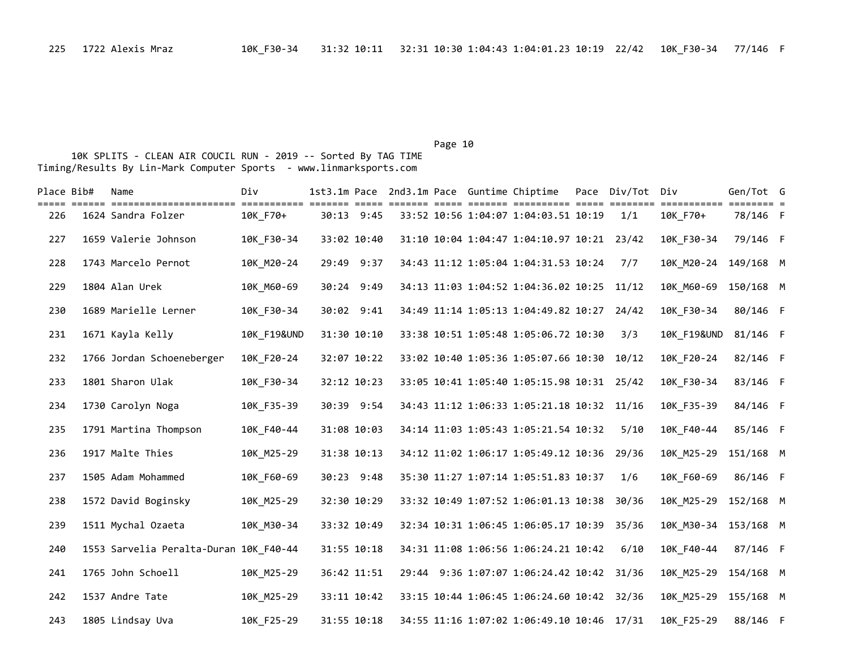## Page 10

| Place Bib# | Name                                   | Div                    |             |  | 1st3.1m Pace 2nd3.1m Pace Guntime Chiptime | Pace Div/Tot Div |                                     | Gen/Tot G |  |
|------------|----------------------------------------|------------------------|-------------|--|--------------------------------------------|------------------|-------------------------------------|-----------|--|
| 226        | 1624 Sandra Folzer                     | 10K F70+               | 30:13 9:45  |  | 33:52 10:56 1:04:07 1:04:03.51 10:19       | 1/1              | ============ ======== =<br>10K F70+ | 78/146 F  |  |
| 227        | 1659 Valerie Johnson                   | 10K F30-34             | 33:02 10:40 |  | 31:10 10:04 1:04:47 1:04:10.97 10:21 23/42 |                  | 10K F30-34                          | 79/146 F  |  |
| 228        | 1743 Marcelo Pernot                    | 10K M20-24             | 29:49 9:37  |  | 34:43 11:12 1:05:04 1:04:31.53 10:24       | 7/7              | 10K M20-24                          | 149/168 M |  |
| 229        | 1804 Alan Urek                         | 10K_M60-69             | 30:24 9:49  |  | 34:13 11:03 1:04:52 1:04:36.02 10:25 11/12 |                  | 10K M60-69                          | 150/168 M |  |
| 230        | 1689 Marielle Lerner                   | 10K F30-34             | 30:02 9:41  |  | 34:49 11:14 1:05:13 1:04:49.82 10:27 24/42 |                  | 10K F30-34                          | 80/146 F  |  |
| 231        | 1671 Kayla Kelly                       | <b>10K F19&amp;UND</b> | 31:30 10:10 |  | 33:38 10:51 1:05:48 1:05:06.72 10:30       | 3/3              | <b>10K F19&amp;UND</b>              | 81/146 F  |  |
| 232        | 1766 Jordan Schoeneberger              | 10K_F20-24             | 32:07 10:22 |  | 33:02 10:40 1:05:36 1:05:07.66 10:30 10/12 |                  | 10K_F20-24                          | 82/146 F  |  |
| 233        | 1801 Sharon Ulak                       | 10K F30-34             | 32:12 10:23 |  | 33:05 10:41 1:05:40 1:05:15.98 10:31 25/42 |                  | 10K_F30-34                          | 83/146 F  |  |
| 234        | 1730 Carolyn Noga                      | 10K F35-39             | 30:39 9:54  |  | 34:43 11:12 1:06:33 1:05:21.18 10:32 11/16 |                  | 10K F35-39                          | 84/146 F  |  |
| 235        | 1791 Martina Thompson                  | 10K F40-44             | 31:08 10:03 |  | 34:14 11:03 1:05:43 1:05:21.54 10:32       | 5/10             | 10K F40-44                          | 85/146 F  |  |
| 236        | 1917 Malte Thies                       | 10K M25-29             | 31:38 10:13 |  | 34:12 11:02 1:06:17 1:05:49.12 10:36 29/36 |                  | 10K M25-29                          | 151/168 M |  |
| 237        | 1505 Adam Mohammed                     | 10K_F60-69             | 30:23 9:48  |  | 35:30 11:27 1:07:14 1:05:51.83 10:37       | 1/6              | 10K F60-69                          | 86/146 F  |  |
| 238        | 1572 David Boginsky                    | 10K M25-29             | 32:30 10:29 |  | 33:32 10:49 1:07:52 1:06:01.13 10:38       | 30/36            | 10K M25-29 152/168 M                |           |  |
| 239        | 1511 Mychal Ozaeta                     | 10K M30-34             | 33:32 10:49 |  | 32:34 10:31 1:06:45 1:06:05.17 10:39 35/36 |                  | 10K M30-34 153/168 M                |           |  |
| 240        | 1553 Sarvelia Peralta-Duran 10K F40-44 |                        | 31:55 10:18 |  | 34:31 11:08 1:06:56 1:06:24.21 10:42       | 6/10             | 10K F40-44                          | 87/146 F  |  |
| 241        | 1765 John Schoell                      | 10K_M25-29             | 36:42 11:51 |  | 29:44 9:36 1:07:07 1:06:24.42 10:42 31/36  |                  | 10K M25-29 154/168 M                |           |  |
| 242        | 1537 Andre Tate                        | 10K M25-29             | 33:11 10:42 |  | 33:15 10:44 1:06:45 1:06:24.60 10:42 32/36 |                  | 10K M25-29                          | 155/168 M |  |
| 243        | 1805 Lindsay Uva                       | 10K F25-29             | 31:55 10:18 |  | 34:55 11:16 1:07:02 1:06:49.10 10:46 17/31 |                  | 10K F25-29                          | 88/146 F  |  |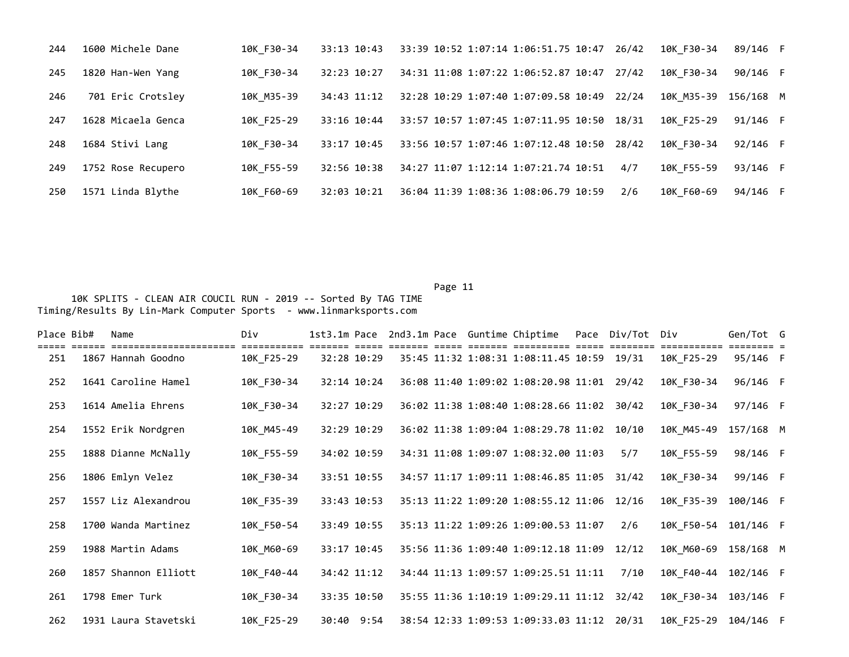| 244 | 1600 Michele Dane  | 10K F30-34 | 33:13 10:43 | 10K F30-34<br>33:39 10:52 1:07:14 1:06:51.75 10:47<br>26/42 | 89/146 F  |
|-----|--------------------|------------|-------------|-------------------------------------------------------------|-----------|
| 245 | 1820 Han-Wen Yang  | 10K F30-34 | 32:23 10:27 | 34:31 11:08 1:07:22 1:06:52.87 10:47<br>10K F30-34<br>27/42 | 90/146 F  |
| 246 | 701 Eric Crotsley  | 10K M35-39 | 34:43 11:12 | 32:28 10:29 1:07:40 1:07:09.58 10:49<br>10K M35-39<br>22/24 | 156/168 M |
| 247 | 1628 Micaela Genca | 10K F25-29 | 33:16 10:44 | 10K F25-29<br>33:57 10:57 1:07:45 1:07:11.95 10:50<br>18/31 | 91/146 F  |
| 248 | 1684 Stivi Lang    | 10K F30-34 | 33:17 10:45 | 10K F30-34<br>33:56 10:57 1:07:46 1:07:12.48 10:50<br>28/42 | 92/146 F  |
| 249 | 1752 Rose Recupero | 10K F55-59 | 32:56 10:38 | 34:27 11:07 1:12:14 1:07:21.74 10:51<br>10K F55-59<br>4/7   | 93/146 F  |
| 250 | 1571 Linda Blythe  | 10K F60-69 | 32:03 10:21 | 10K F60-69<br>36:04 11:39 1:08:36 1:08:06.79 10:59<br>2/6   | 94/146 F  |

Page 11 and the contract of the contract of the contract of the contract of the contract of the contract of the contract of the contract of the contract of the contract of the contract of the contract of the contract of th 10K SPLITS - CLEAN AIR COUCIL RUN - 2019 -- Sorted By TAG TIME Timing/Results By Lin-Mark Computer Sports - www.linmarksports.com

| Place Bib# | Name                                       | Div        |             |  | 1st3.1m Pace 2nd3.1m Pace Guntime Chiptime | Pace Div/Tot Div |                          | Gen/Tot G |  |
|------------|--------------------------------------------|------------|-------------|--|--------------------------------------------|------------------|--------------------------|-----------|--|
| 251        | --------------------<br>1867 Hannah Goodno | 10K F25-29 | 32:28 10:29 |  | 35:45 11:32 1:08:31 1:08:11.45 10:59 19/31 |                  | ==========<br>10K F25-29 | 95/146 F  |  |
| 252        | 1641 Caroline Hamel                        | 10K F30-34 | 32:14 10:24 |  | 36:08 11:40 1:09:02 1:08:20.98 11:01 29/42 |                  | 10K F30-34               | 96/146 F  |  |
| 253        | 1614 Amelia Ehrens                         | 10K F30-34 | 32:27 10:29 |  | 36:02 11:38 1:08:40 1:08:28.66 11:02 30/42 |                  | 10K F30-34               | 97/146 F  |  |
| 254        | 1552 Erik Nordgren                         | 10K M45-49 | 32:29 10:29 |  | 36:02 11:38 1:09:04 1:08:29.78 11:02 10/10 |                  | 10K M45-49               | 157/168 M |  |
| 255        | 1888 Dianne McNally                        | 10K F55-59 | 34:02 10:59 |  | 34:31 11:08 1:09:07 1:08:32.00 11:03       | 5/7              | 10K F55-59               | 98/146 F  |  |
| 256        | 1806 Emlyn Velez                           | 10K F30-34 | 33:51 10:55 |  | 34:57 11:17 1:09:11 1:08:46.85 11:05       | 31/42            | 10K F30-34               | 99/146 F  |  |
| 257        | 1557 Liz Alexandrou                        | 10K_F35-39 | 33:43 10:53 |  | 35:13 11:22 1:09:20 1:08:55.12 11:06 12/16 |                  | 10K F35-39               | 100/146 F |  |
| 258        | 1700 Wanda Martinez                        | 10K F50-54 | 33:49 10:55 |  | 35:13 11:22 1:09:26 1:09:00.53 11:07       | 2/6              | 10K F50-54               | 101/146 F |  |
| 259        | 1988 Martin Adams                          | 10K M60-69 | 33:17 10:45 |  | 35:56 11:36 1:09:40 1:09:12.18 11:09       | 12/12            | 10K M60-69               | 158/168 M |  |
| 260        | 1857 Shannon Elliott                       | 10K F40-44 | 34:42 11:12 |  | 34:44 11:13 1:09:57 1:09:25.51 11:11       | 7/10             | 10K F40-44               | 102/146 F |  |
| 261        | 1798 Emer Turk                             | 10K F30-34 | 33:35 10:50 |  | 35:55 11:36 1:10:19 1:09:29.11 11:12       | 32/42            | 10K F30-34               | 103/146 F |  |
| 262        | 1931 Laura Stavetski                       | 10K F25-29 | 30:40 9:54  |  | 38:54 12:33 1:09:53 1:09:33.03 11:12 20/31 |                  | 10K F25-29               | 104/146 F |  |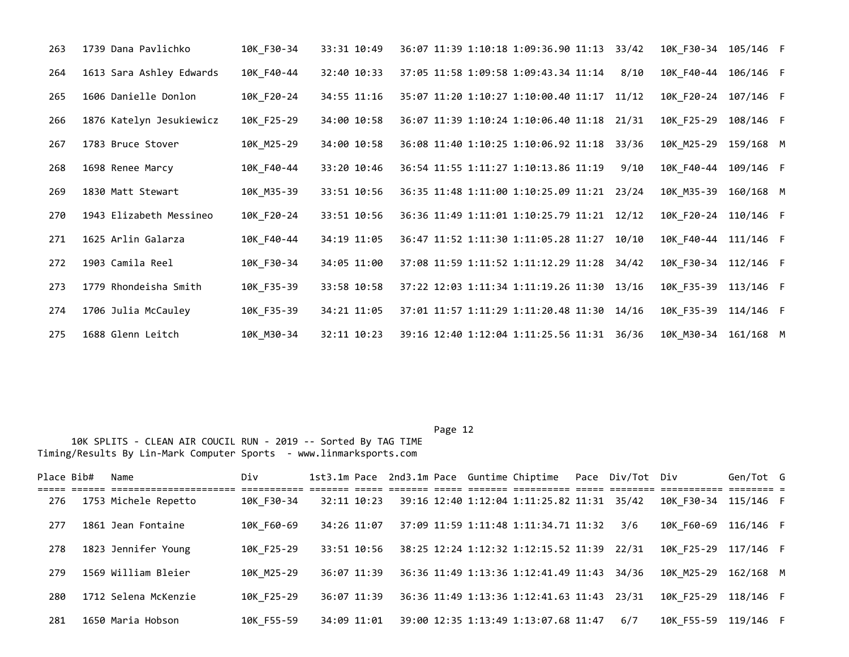| 263 | 1739 Dana Pavlichko      | 10K F30-34 | 33:31 10:49 | 36:07 11:39 1:10:18 1:09:36.90 11:13 33/42                  | 10K F30-34 105/146 F |
|-----|--------------------------|------------|-------------|-------------------------------------------------------------|----------------------|
| 264 | 1613 Sara Ashley Edwards | 10K F40-44 | 32:40 10:33 | 37:05 11:58 1:09:58 1:09:43.34 11:14<br>8/10<br>10K F40-44  | 106/146 F            |
| 265 | 1606 Danielle Donlon     | 10K F20-24 | 34:55 11:16 | 35:07 11:20 1:10:27 1:10:00.40 11:17 11/12<br>10K F20-24    | 107/146 F            |
| 266 | 1876 Katelyn Jesukiewicz | 10K F25-29 | 34:00 10:58 | 36:07 11:39 1:10:24 1:10:06.40 11:18 21/31<br>10K F25-29    | 108/146 F            |
| 267 | 1783 Bruce Stover        | 10K M25-29 | 34:00 10:58 | 36:08 11:40 1:10:25 1:10:06.92 11:18<br>33/36               | 10K M25-29 159/168 M |
| 268 | 1698 Renee Marcy         | 10K F40-44 | 33:20 10:46 | 36:54 11:55 1:11:27 1:10:13.86 11:19<br>10K F40-44<br>9/10  | 109/146 F            |
| 269 | 1830 Matt Stewart        | 10K_M35-39 | 33:51 10:56 | 36:35 11:48 1:11:00 1:10:25.09 11:21 23/24<br>10K M35-39    | 160/168 M            |
| 270 | 1943 Elizabeth Messineo  | 10K F20-24 | 33:51 10:56 | 36:36 11:49 1:11:01 1:10:25.79 11:21 12/12                  | 10K F20-24 110/146 F |
| 271 | 1625 Arlin Galarza       | 10K F40-44 | 34:19 11:05 | 36:47 11:52 1:11:30 1:11:05.28 11:27<br>10K F40-44<br>10/10 | 111/146 F            |
| 272 | 1903 Camila Reel         | 10K F30-34 | 34:05 11:00 | 37:08 11:59 1:11:52 1:11:12.29 11:28 34/42<br>10K F30-34    | 112/146 F            |
| 273 | 1779 Rhondeisha Smith    | 10K_F35-39 | 33:58 10:58 | 37:22 12:03 1:11:34 1:11:19.26 11:30 13/16<br>10K_F35-39    | $113/146$ F          |
| 274 | 1706 Julia McCauley      | 10K F35-39 | 34:21 11:05 | 37:01 11:57 1:11:29 1:11:20.48 11:30 14/16<br>10K F35-39    | 114/146 F            |
| 275 | 1688 Glenn Leitch        | 10K M30-34 | 32:11 10:23 | 39:16 12:40 1:12:04 1:11:25.56 11:31 36/36                  | 10K M30-34 161/168 M |

| Place Bib# | Name                 | Div        |             |  |  | 1st3.1m Pace 2nd3.1m Pace Guntime Chiptime Pace Div/Tot Div |     |                      | Gen/Tot G |  |
|------------|----------------------|------------|-------------|--|--|-------------------------------------------------------------|-----|----------------------|-----------|--|
| 276        | 1753 Michele Repetto | 10K F30-34 | 32:11 10:23 |  |  | 39:16 12:40 1:12:04 1:11:25.82 11:31 35/42                  |     | 10K F30-34 115/146 F |           |  |
| 277        | 1861 Jean Fontaine   | 10K F60-69 | 34:26 11:07 |  |  | 37:09 11:59 1:11:48 1:11:34.71 11:32                        | 3/6 | 10K F60-69           | 116/146 F |  |
| 278        | 1823 Jennifer Young  | 10K F25-29 | 33:51 10:56 |  |  | 38:25 12:24 1:12:32 1:12:15.52 11:39 22/31                  |     | 10K F25-29           | 117/146 F |  |
| 279        | 1569 William Bleier  | 10K M25-29 | 36:07 11:39 |  |  | 36:36 11:49 1:13:36 1:12:41.49 11:43 34/36                  |     | 10K M25-29           | 162/168 M |  |
| 280        | 1712 Selena McKenzie | 10K F25-29 | 36:07 11:39 |  |  | 36:36 11:49 1:13:36 1:12:41.63 11:43 23/31                  |     | 10K F25-29           | 118/146 F |  |
| 281        | 1650 Maria Hobson    | 10K F55-59 | 34:09 11:01 |  |  | 39:00 12:35 1:13:49 1:13:07.68 11:47                        | 6/7 | 10K F55-59 119/146 F |           |  |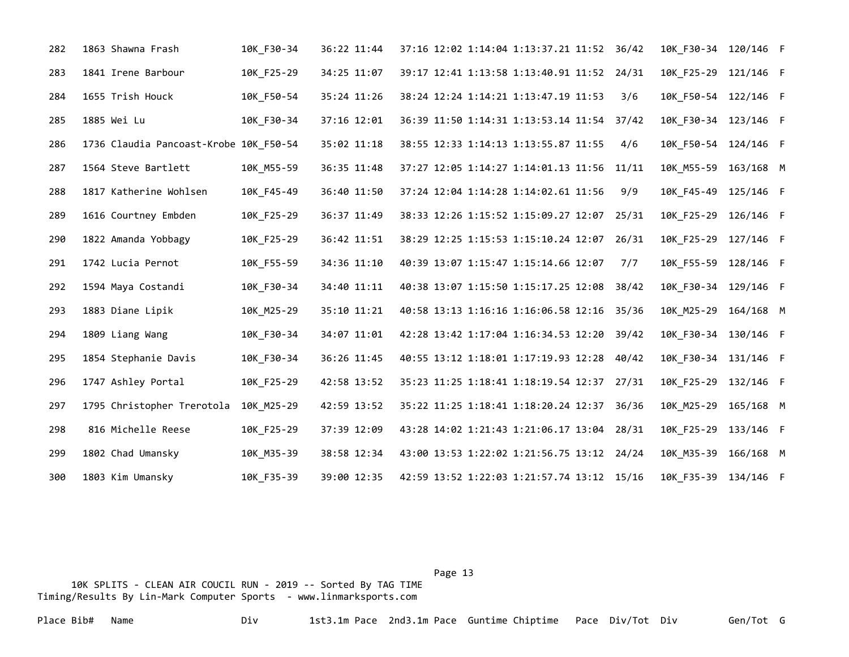| 282 | 1863 Shawna Frash                      | 10K_F30-34 | 36:22 11:44 | 37:16 12:02 1:14:04 1:13:37.21 11:52 36/42 |     | 10K_F30-34 120/146 F |  |
|-----|----------------------------------------|------------|-------------|--------------------------------------------|-----|----------------------|--|
| 283 | 1841 Irene Barbour                     | 10K_F25-29 | 34:25 11:07 | 39:17 12:41 1:13:58 1:13:40.91 11:52 24/31 |     | 10K_F25-29 121/146 F |  |
| 284 | 1655 Trish Houck                       | 10K_F50-54 | 35:24 11:26 | 38:24 12:24 1:14:21 1:13:47.19 11:53       | 3/6 | 10K_F50-54 122/146 F |  |
| 285 | 1885 Wei Lu                            | 10K F30-34 | 37:16 12:01 | 36:39 11:50 1:14:31 1:13:53.14 11:54 37/42 |     | 10K F30-34 123/146 F |  |
| 286 | 1736 Claudia Pancoast-Krobe 10K F50-54 |            | 35:02 11:18 | 38:55 12:33 1:14:13 1:13:55.87 11:55       | 4/6 | 10K F50-54 124/146 F |  |
| 287 | 1564 Steve Bartlett                    | 10K M55-59 | 36:35 11:48 | 37:27 12:05 1:14:27 1:14:01.13 11:56 11/11 |     | 10K M55-59 163/168 M |  |
| 288 | 1817 Katherine Wohlsen                 | 10K_F45-49 | 36:40 11:50 | 37:24 12:04 1:14:28 1:14:02.61 11:56       | 9/9 | 10K F45-49 125/146 F |  |
| 289 | 1616 Courtney Embden                   | 10K F25-29 | 36:37 11:49 | 38:33 12:26 1:15:52 1:15:09.27 12:07 25/31 |     | 10K F25-29 126/146 F |  |
| 290 | 1822 Amanda Yobbagy                    | 10K_F25-29 | 36:42 11:51 | 38:29 12:25 1:15:53 1:15:10.24 12:07 26/31 |     | 10K F25-29 127/146 F |  |
| 291 | 1742 Lucia Pernot                      | 10K_F55-59 | 34:36 11:10 | 40:39 13:07 1:15:47 1:15:14.66 12:07       | 7/7 | 10K_F55-59 128/146 F |  |
| 292 | 1594 Maya Costandi                     | 10K_F30-34 | 34:40 11:11 | 40:38 13:07 1:15:50 1:15:17.25 12:08 38/42 |     | 10K_F30-34 129/146 F |  |
| 293 | 1883 Diane Lipik                       | 10K_M25-29 | 35:10 11:21 | 40:58 13:13 1:16:16 1:16:06.58 12:16 35/36 |     | 10K_M25-29 164/168 M |  |
| 294 | 1809 Liang Wang                        | 10K_F30-34 | 34:07 11:01 | 42:28 13:42 1:17:04 1:16:34.53 12:20 39/42 |     | 10K_F30-34 130/146 F |  |
| 295 | 1854 Stephanie Davis                   | 10K_F30-34 | 36:26 11:45 | 40:55 13:12 1:18:01 1:17:19.93 12:28 40/42 |     | 10K_F30-34 131/146 F |  |
| 296 | 1747 Ashley Portal                     | 10K F25-29 | 42:58 13:52 | 35:23 11:25 1:18:41 1:18:19.54 12:37 27/31 |     | 10K F25-29 132/146 F |  |
| 297 | 1795 Christopher Trerotola             | 10K M25-29 | 42:59 13:52 | 35:22 11:25 1:18:41 1:18:20.24 12:37 36/36 |     | 10K M25-29 165/168 M |  |
| 298 | 816 Michelle Reese                     | 10K F25-29 | 37:39 12:09 | 43:28 14:02 1:21:43 1:21:06.17 13:04 28/31 |     | 10K F25-29 133/146 F |  |
| 299 | 1802 Chad Umansky                      | 10K M35-39 | 38:58 12:34 | 43:00 13:53 1:22:02 1:21:56.75 13:12 24/24 |     | 10K M35-39 166/168 M |  |
| 300 | 1803 Kim Umansky                       | 10K F35-39 | 39:00 12:35 | 42:59 13:52 1:22:03 1:21:57.74 13:12 15/16 |     | 10K F35-39 134/146 F |  |

Page 13